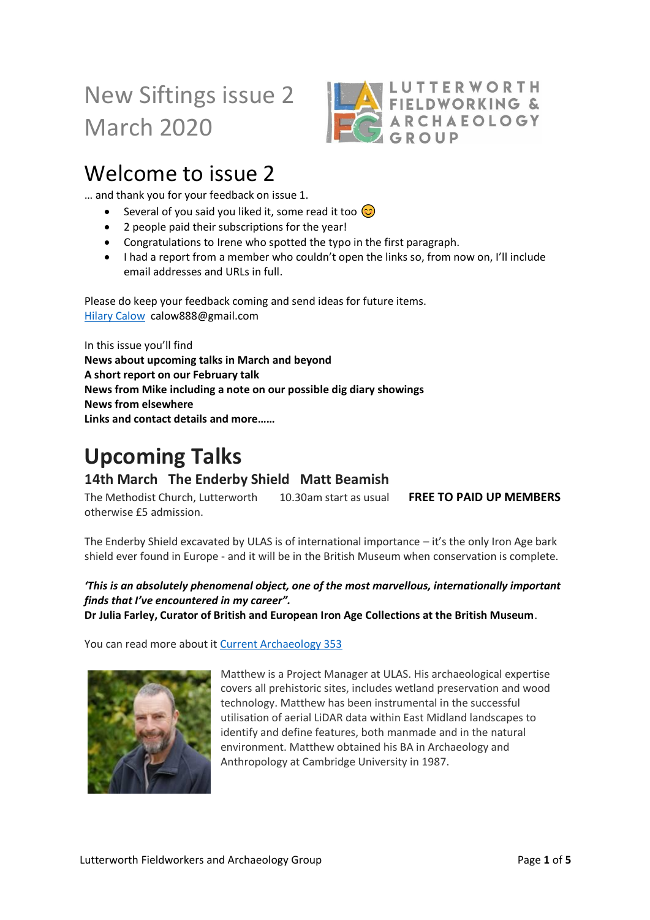# New Siftings issue 2 March 2020



### Welcome to issue 2

… and thank you for your feedback on issue 1.

- Several of you said you liked it, some read it too  $\circledcirc$
- 2 people paid their subscriptions for the year!
- Congratulations to Irene who spotted the typo in the first paragraph.
- I had a report from a member who couldn't open the links so, from now on, I'll include email addresses and URLs in full.

Please do keep your feedback coming and send ideas for future items. [Hilary Calow](mailto:calow888@gmail.com) calow888@gmail.com

In this issue you'll find **News about upcoming talks in March and beyond A short report on our February talk News from Mike including a note on our possible dig diary showings News from elsewhere Links and contact details and more……**

## **Upcoming Talks**

### **14th March The Enderby Shield Matt Beamish**

The Methodist Church, Lutterworth 10.30am start as usual **FREE TO PAID UP MEMBERS** otherwise £5 admission.

The Enderby Shield excavated by ULAS is of international importance – it's the only Iron Age bark shield ever found in Europe - and it will be in the British Museum when conservation is complete.

### *'This is an absolutely phenomenal object, one of the most marvellous, internationally important finds that I've encountered in my career".*

**Dr Julia Farley, Curator of British and European Iron Age Collections at the British Museum**.

You can read more about i[t Current Archaeology 353](https://www.archaeology.co.uk/articles/unique-iron-age-bark-shield-found-in-leicestershire.htm)



Matthew is a Project Manager at ULAS. His archaeological expertise covers all prehistoric sites, includes wetland preservation and wood technology. Matthew has been instrumental in the successful utilisation of aerial LiDAR data within East Midland landscapes to identify and define features, both manmade and in the natural environment. Matthew obtained his BA in Archaeology and Anthropology at Cambridge University in 1987.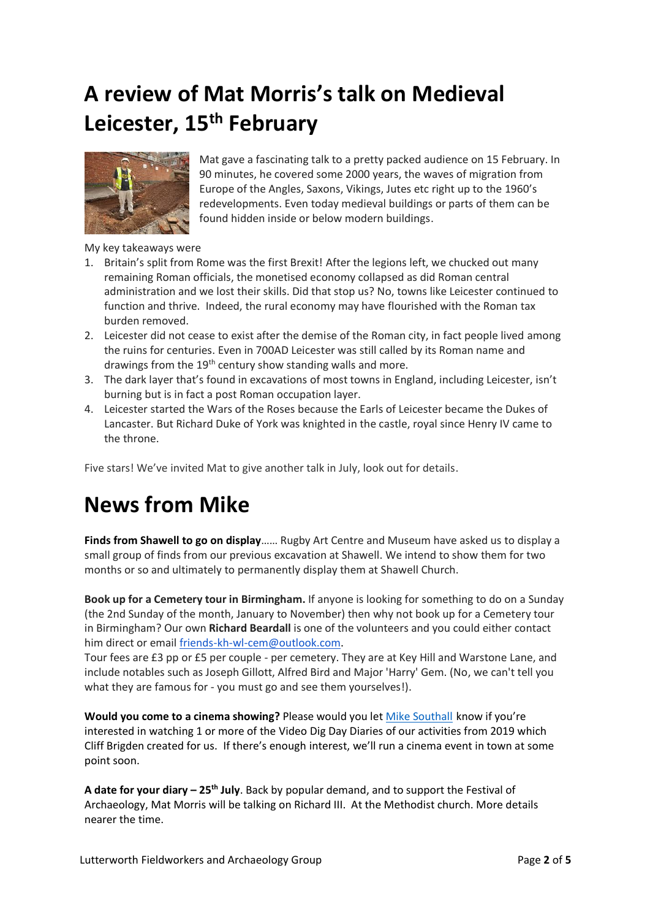# **A review of Mat Morris's talk on Medieval Leicester, 15th February**



Mat gave a fascinating talk to a pretty packed audience on 15 February. In 90 minutes, he covered some 2000 years, the waves of migration from Europe of the Angles, Saxons, Vikings, Jutes etc right up to the 1960's redevelopments. Even today medieval buildings or parts of them can be found hidden inside or below modern buildings.

My key takeaways were

- 1. Britain's split from Rome was the first Brexit! After the legions left, we chucked out many remaining Roman officials, the monetised economy collapsed as did Roman central administration and we lost their skills. Did that stop us? No, towns like Leicester continued to function and thrive. Indeed, the rural economy may have flourished with the Roman tax burden removed.
- 2. Leicester did not cease to exist after the demise of the Roman city, in fact people lived among the ruins for centuries. Even in 700AD Leicester was still called by its Roman name and drawings from the  $19<sup>th</sup>$  century show standing walls and more.
- 3. The dark layer that's found in excavations of most towns in England, including Leicester, isn't burning but is in fact a post Roman occupation layer.
- 4. Leicester started the Wars of the Roses because the Earls of Leicester became the Dukes of Lancaster. But Richard Duke of York was knighted in the castle, royal since Henry IV came to the throne.

Five stars! We've invited Mat to give another talk in July, look out for details.

### **News from Mike**

**Finds from Shawell to go on display**…… Rugby Art Centre and Museum have asked us to display a small group of finds from our previous excavation at Shawell. We intend to show them for two months or so and ultimately to permanently display them at Shawell Church.

**Book up for a Cemetery tour in Birmingham.** If anyone is looking for something to do on a Sunday (the 2nd Sunday of the month, January to November) then why not book up for a Cemetery tour in Birmingham? Our own **Richard Beardall** is one of the volunteers and you could either contact him direct or email [friends-kh-wl-cem@outlook.com.](mailto:friends-kh-wl-cem@outlook.com)

Tour fees are £3 pp or £5 per couple - per cemetery. They are at Key Hill and Warstone Lane, and include notables such as Joseph Gillott, Alfred Bird and Major 'Harry' Gem. (No, we can't tell you what they are famous for - you must go and see them yourselves!).

**Would you come to a cinema showing?** Please would you let [Mike Southall](mailto:michael.southall@mypostoffice.co.uk) know if you're interested in watching 1 or more of the Video Dig Day Diaries of our activities from 2019 which Cliff Brigden created for us. If there's enough interest, we'll run a cinema event in town at some point soon.

**A date for your diary – 25th July**. Back by popular demand, and to support the Festival of Archaeology, Mat Morris will be talking on Richard III. At the Methodist church. More details nearer the time.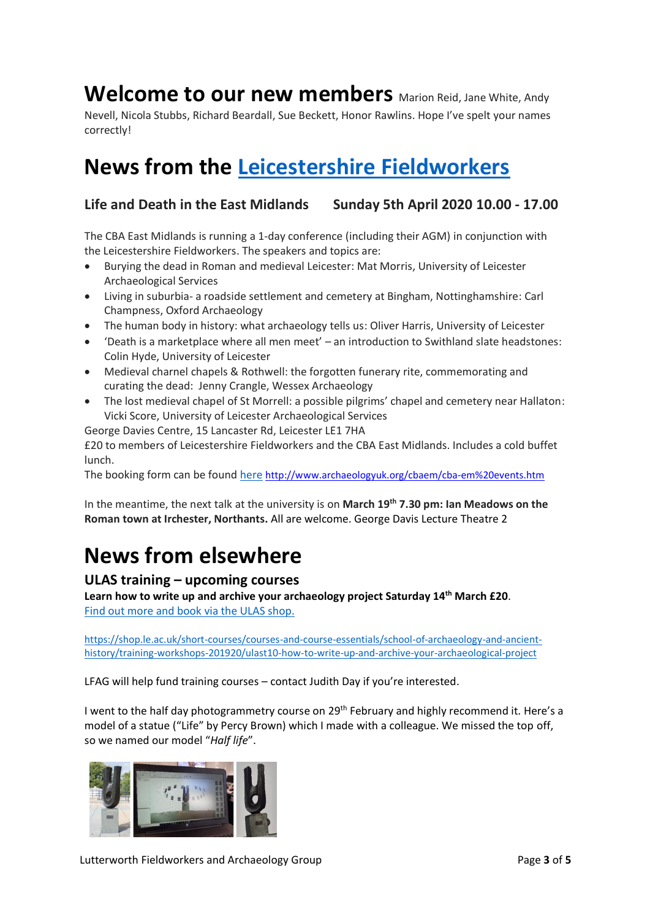### Welcome to our new members Marion Reid, Jane White, Andy

Nevell, Nicola Stubbs, Richard Beardall, Sue Beckett, Honor Rawlins. Hope I've spelt your names correctly!

## **News from the [Leicestershire Fieldworkers](https://leicsfieldworkers.co.uk/)**

### **Life and Death in the East Midlands Sunday 5th April 2020 10.00 - 17.00**

The CBA East Midlands is running a 1-day conference (including their AGM) in conjunction with the Leicestershire Fieldworkers. The speakers and topics are:

- Burying the dead in Roman and medieval Leicester: Mat Morris, University of Leicester Archaeological Services
- Living in suburbia- a roadside settlement and cemetery at Bingham, Nottinghamshire: Carl Champness, Oxford Archaeology
- The human body in history: what archaeology tells us: Oliver Harris, University of Leicester
- 'Death is a marketplace where all men meet' an introduction to Swithland slate headstones: Colin Hyde, University of Leicester
- Medieval charnel chapels & Rothwell: the forgotten funerary rite, commemorating and curating the dead: Jenny Crangle, Wessex Archaeology
- The lost medieval chapel of St Morrell: a possible pilgrims' chapel and cemetery near Hallaton: Vicki Score, University of Leicester Archaeological Services

George Davies Centre, 15 Lancaster Rd, Leicester LE1 7HA

£20 to members of Leicestershire Fieldworkers and the CBA East Midlands. Includes a cold buffet lunch.

The booking form can be found [here](http://www.archaeologyuk.org/cbaem/cba-em%20events.htm) <http://www.archaeologyuk.org/cbaem/cba-em%20events.htm>

In the meantime, the next talk at the university is on **March 19th 7.30 pm: Ian Meadows on the Roman town at Irchester, Northants.** All are welcome. George Davis Lecture Theatre 2

## **News from elsewhere**

#### **ULAS training – upcoming courses**

**Learn how to write up and archive your archaeology project Saturday 14th March £20**. [Find out more and book via the ULAS shop.](https://shop.le.ac.uk/short-courses/courses-and-course-essentials/school-of-archaeology-and-ancient-history/training-workshops-201920/ulast10-how-to-write-up-and-archive-your-archaeological-project)

[https://shop.le.ac.uk/short-courses/courses-and-course-essentials/school-of-archaeology-and-ancient](https://shop.le.ac.uk/short-courses/courses-and-course-essentials/school-of-archaeology-and-ancient-history/training-workshops-201920/ulast10-how-to-write-up-and-archive-your-archaeological-project)[history/training-workshops-201920/ulast10-how-to-write-up-and-archive-your-archaeological-project](https://shop.le.ac.uk/short-courses/courses-and-course-essentials/school-of-archaeology-and-ancient-history/training-workshops-201920/ulast10-how-to-write-up-and-archive-your-archaeological-project)

LFAG will help fund training courses – contact Judith Day if you're interested.

I went to the half day photogrammetry course on 29<sup>th</sup> February and highly recommend it. Here's a model of a statue ("Life" by Percy Brown) which I made with a colleague. We missed the top off, so we named our model "*Half life*".

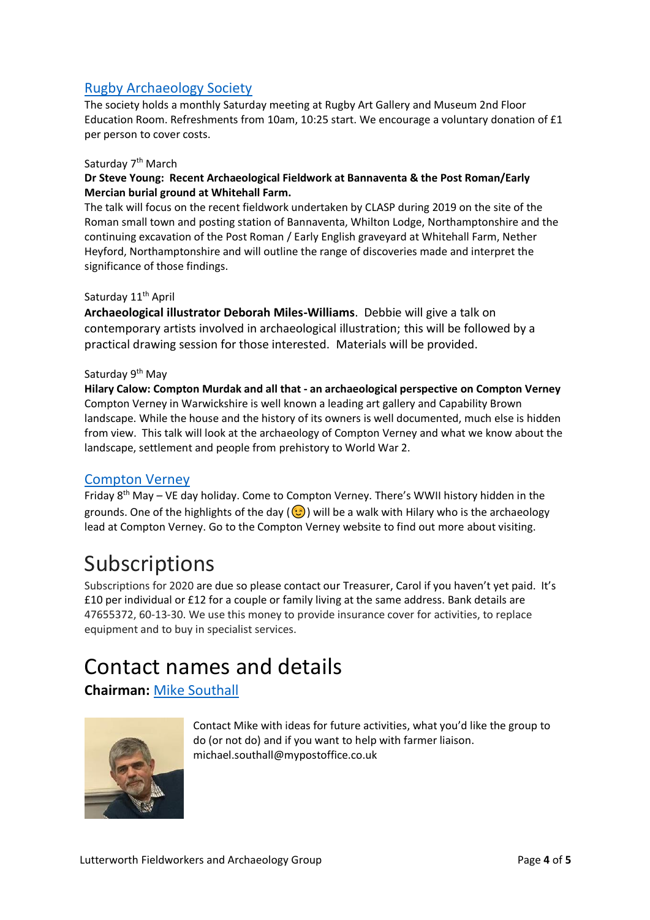### [Rugby Archaeology Society](http://www.rugbyarchaeology.org.uk/)

The society holds a monthly Saturday meeting at Rugby Art Gallery and Museum 2nd Floor Education Room. Refreshments from 10am, 10:25 start. We encourage a voluntary donation of £1 per person to cover costs.

#### Saturday 7<sup>th</sup> March

#### **Dr Steve Young: Recent Archaeological Fieldwork at Bannaventa & the Post Roman/Early Mercian burial ground at Whitehall Farm.**

The talk will focus on the recent fieldwork undertaken by CLASP during 2019 on the site of the Roman small town and posting station of Bannaventa, Whilton Lodge, Northamptonshire and the continuing excavation of the Post Roman / Early English graveyard at Whitehall Farm, Nether Heyford, Northamptonshire and will outline the range of discoveries made and interpret the significance of those findings.

#### Saturday 11<sup>th</sup> April

**Archaeological illustrator Deborah Miles-Williams**. Debbie will give a talk on contemporary artists involved in archaeological illustration; this will be followed by a practical drawing session for those interested. Materials will be provided.

#### Saturday 9<sup>th</sup> May

**Hilary Calow: Compton Murdak and all that - an archaeological perspective on Compton Verney** Compton Verney in Warwickshire is well known a leading art gallery and Capability Brown landscape. While the house and the history of its owners is well documented, much else is hidden from view. This talk will look at the archaeology of Compton Verney and what we know about the landscape, settlement and people from prehistory to World War 2.

#### [Compton Verney](https://www.comptonverney.org.uk/)

Friday 8<sup>th</sup> May – VE day holiday. Come to Compton Verney. There's WWII history hidden in the grounds. One of the highlights of the day  $(\bigcirc)$  will be a walk with Hilary who is the archaeology lead at Compton Verney. Go to the Compton Verney website to find out more about visiting.

### Subscriptions

Subscriptions for 2020 are due so please contact our Treasurer, Carol if you haven't yet paid. It's £10 per individual or £12 for a couple or family living at the same address. Bank details are 47655372, 60-13-30. We use this money to provide insurance cover for activities, to replace equipment and to buy in specialist services.

## Contact names and details

**Chairman:** [Mike Southall](mailto:michael.southall@mypostoffice.co.uk)



Contact Mike with ideas for future activities, what you'd like the group to do (or not do) and if you want to help with farmer liaison. michael.southall@mypostoffice.co.uk